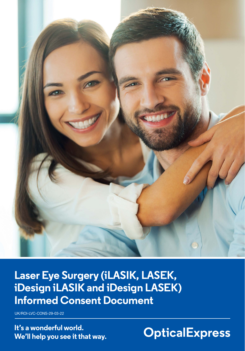

**Laser Eye Surgery (iLASIK, LASEK, iDesign iLASIK and iDesign LASEK) Informed Consent Document**

UK/ROI-LVC-CONS-29-03-22

**It's a wonderful world. We'll help you see it that way.**

**OpticalExpress**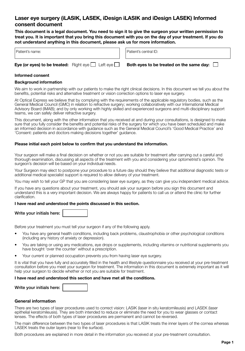# **Laser eye surgery (iLASIK, LASEK, iDesign iLASIK and iDesign LASEK) Informed consent document**

**This document is a legal document. You need to sign it to give the surgeon your written permission to treat you. It is important that you bring this document with you on the day of your treatment. If you do not understand anything in this document, please ask us for more information.**

| $\mathbf{E}_{\mathbf{M}}$ (as even) to be treated: $\mathbf{D}_{\mathbf{M}}$ and $\mathbf{L}$ and $\mathbf{L}$ |  | Dath avenue to he     |
|----------------------------------------------------------------------------------------------------------------|--|-----------------------|
| Patient's name:                                                                                                |  | Patient's central ID: |

**Eye (or eyes) to be treated:** Right eye  $\Box$  Left eye  $\Box$  Both eyes to be treated on the same day:  $\Box$ 

# **Informed consent**

# **Background information**

We aim to work in partnership with our patients to make the right clinical decisions. In this document we tell you about the benefits, potential risks and alternative treatment or vision correction options to laser eye surgery.

At Optical Express we believe that by complying with the requirements of the applicable regulatory bodies, such as the General Medical Council (GMC) in relation to refractive surgery; working collaboratively with our International Medical Advisory Board (IMAB); and by only working with highly skilled and experienced surgeons and multi-disciplinary support teams, we can safely deliver refractive surgery.

This document, along with the other information that you received at and during your consultations, is designed to make sure that you fully consider the benefits and potential risks of the surgery for which you have been scheduled and make an informed decision in accordance with guidance such as the General Medical Council's 'Good Medical Practice' and 'Consent: patients and doctors making decisions together' guidance.

# **Please initial each point below to confirm that you understand the information.**

Your surgeon will make a final decision on whether or not you are suitable for treatment after carrying out a careful and thorough examination, discussing all aspects of the treatment with you and considering your optometrist's opinion. The surgeon's decision will be based on your individual needs.

Your Surgeon may elect to postpone your procedure to a future day should they believe that additional diagnostic tests or additional medical specialist support is required to allow delivery of your treatment.

You may wish to tell your GP that you are considering laser eye surgery, as they can give you independent medical advice.

If you have any questions about your treatment, you should ask your surgeon before you sign this document and understand this is a very important decision. We are always happy for patients to call us or attend the clinic for further clarification.

#### **I have read and understood the points discussed in this section.**

| Write your initials here: |  |
|---------------------------|--|
|---------------------------|--|

Before your treatment you must tell your surgeon if any of the following apply.

- You have any general health conditions, including back problems, claustrophobia or other psychological conditions (including any history of anxiety or depression).
- You are taking or using any medications, eye drops or supplements, including vitamins or nutritional supplements you have bought 'over the counter' without a prescription.
- Your current or planned occupation prevents you from having laser eye surgery.

It is vital that you have fully and accurately filled in the health and lifestyle questionnaire you received at your pre-treatment consultation before you meet your surgeon for treatment. The information in this document is extremely important as it will help your surgeon to decide whether or not you are suitable for treatment.

# **I have read and understood this section and have met all the conditions.**

| Write your initials here: |  |
|---------------------------|--|
|---------------------------|--|

# **General information**

There are two types of laser procedures used to correct vision: LASIK (laser in situ keratomileusis) and LASEK (laser epithelial keratomileusis). They are both intended to reduce or eliminate the need for you to wear glasses or contact lenses. The effects of both types of laser procedures are permanent and cannot be reversed.

The main difference between the two types of laser procedures is that LASIK treats the inner layers of the cornea whereas LASEK treats the outer layers (near to the surface).

Both procedures are explained in more detail in the information you received at your pre-treatment consultation.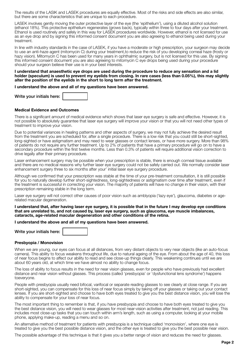The results of the LASIK and LASEK procedures are equally effective. Most of the risks and side effects are also similar, but there are some characteristics that are unique to each procedure.

LASEK involves gently moving the outer protective layer of the eye (the 'epithelium'), using a diluted alcohol solution (ethanol 18%). This protective epithelium regenerates (grows back), typically within three to four days after your treatment. Ethanol is used routinely and safely in this way for LASEK procedures worldwide. However, ethanol is not licensed for use as an eye drop and by signing this informed consent document you are also agreeing to ethanol being used during your treatment.

In line with industry standards in the case of LASEK, if you have a moderate or high prescription, your surgeon may decide to use an anti-haze agent (mitomycin C) during your treatment,to reduce the risk of you developing corneal haze (frosty or hazy vision). Mitomycin C has been used for many years in ophthalmic surgery, but is not licensed for this use. By signing this informed consent document you are also agreeing to mitomycin C eye drops being used during your procedure should your surgeon believe their use is in your best interests.

#### **I understand that anaesthetic eye drops are used during the procedure to reduce any sensation and a lid holder (speculum) is used to prevent my eyelids from closing. In rare cases (less than 0.05%), this may slightly alter the position of the eyelids in the short to long term after the treatment.**

**I understand the above and all of my questions have been answered.**

| Write your initials here: |  |
|---------------------------|--|
|---------------------------|--|

#### **Medical Evidence and Outcomes**

There is a significant amount of medical evidence which shows that laser eye surgery is safe and effective. However, it is not possible to absolutely guarantee that laser eye surgery will improve your vision or that you will not need other types of treatment to improve your vision.

Due to potential variances in healing patterns and other aspects of surgery, we may not fully achieve the desired result from the treatment you are scheduled for, after a single procedure. There is a low risk that you could still be short-sighted, long-sighted or have astigmatism and may need to wear glasses or contact lenses, or have more surgery. More than 98% of patients do not require any further treatment. Up to 2% of patients that have a primary procedure will go on to have a secondary procedure within the first twelve months. Less than 0.3% of patients will require additional vision correction to drive legally after their primary procedure.

Laser enhancement surgery may be possible when your prescription is stable, there is enough corneal tissue available and there are no medical reasons why further laser eye surgery could not be safely carried out. We normally consider laser enhancement surgery three to six months after your' initial laser eye surgery procedure.

Although we confirmed that your prescription was stable at the time of your pre-treatment consultation, it is still possible for you to naturally develop further short-sightedness, long-sightedness or astigmatism over time after treatment, even if the treatment is successful in correcting your vision. The majority of patients will have no change in their vision, with their prescription remaining stable in the long term.

Laser eye surgery will not correct other causes of poor vision such as amblyopia ('lazy eye'), glaucoma, diabetes or agerelated macular degeneration.

**I understand that, after having laser eye surgery, it is possible that in the future I may develop eye conditions that are unrelated to, and not caused by, laser eye surgery, such as glaucoma, eye muscle imbalances, cataracts, age-related macular degeneration and other conditions of the retina.**

**I understand the above and all of my questions have been answered.**

Write your initials here:

#### **Presbyopia / Monovision**

When we are young, our eyes can focus at all distances, from very distant objects to very near objects (like an auto-focus camera). This ability to focus weakens throughout life, due to natural ageing of the eye. From about the age of 40, this loss of near focus begins to affect our ability to read and see close-up things clearly. This weakening continues until we are about 60 years old, at which time we have almost no ability to change focus.

The loss of ability to focus results in the need for near vision glasses, even for people who have previously had excellent distance and near vision without glasses. This process (called 'presbyopia' or 'dysfunctional lens syndrome') happens toeveryone.

People with presbyopia usually need bifocal, varifocal or separate reading glasses to see clearly at close range. If you are short-sighted, you can compensate for this loss of near focus simply by taking off your glasses or taking out your contact lenses. If you are short-sighted and choose to have both eyes treated to give you the best distance vision, you will lose the ability to compensate for your loss of near focus.

The most important thing to remember is that, if you have presbyopia and choose to have both eyes treated to give you the best distance vision, you will need to wear glasses for most near-vision activities after treatment, not just reading. This includes most close-up tasks that you can touch within arm's length, such as using a computer, looking at your mobile phone, applying make-up, reading a menu and so on.

An alternative method of treatment for patients with presbyopia is a technique called 'monovision', where one eye is treated to give you the best possible distance vision, and the other eye is treated to give you the best possible near vision.

The possible advantage of this technique is that it gives you a better range of vision and reduces the need for glasses.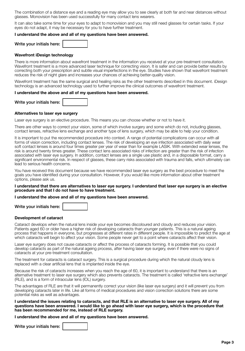The combination of a distance eye and a reading eye may allow you to see clearly at both far and near distances without glasses. Monovision has been used successfully for many contact lens wearers.

It can also take some time for your eyes to adapt to monovision and you may still need glasses for certain tasks. If your eyes do not adapt, it may be necessary for you to have further treatment.

#### **I understand the above and all of my questions have been answered.**

Write your initials here:

#### **Wavefront iDesign technology**

There is more information about wavefront treatment in the information you received at your pre-treatment consultation. Wavefront treatment is a more advanced laser technique for correcting vision. It is safer and can provide better results by correcting both your prescription and subtle visual imperfections in the eye. Studies have shown that wavefront treatment reduces the risk of night glare and increases your chances of achieving better-quality vision.

Wavefront treatment has the same surgical and healing risks as the other treatments described in this document. iDesign technology is an advanced technology used to further improve the clinical outcomes of wavefront treatment.

#### **I understand the above and all of my questions have been answered.**

Write your initials here:

# **Alternatives to laser eye surgery**

Laser eye surgery is an elective procedure. This means you can choose whether or not to have it.

There are other ways to correct your vision, some of which involve surgery and some which do not, including glasses, contact lenses, refractive lens exchange and another type of lens surgery, which may be able to help your condition.

It is important to put the recommended procedure into context. A range of potential complications can occur with all forms of vision correction, including contact lenses. The risk of developing an eye infection associated with daily wear soft contact lenses is around four times greater per year of wear than for example LASIK. With extended wear lenses, the risk is around twenty times greater. These contact lens associated risks of infection are greater than the risk of infection associated with laser eye surgery. In addition, contact lenses are a single use plastic and, in a disposable format, carry a significant environmental risk. In respect of glasses, these carry risks associated with trauma and falls, which ultimately can lead to serious health concerns.

You have received this document because we have recommended laser eye surgery as the best procedure to meet the goals you have identified during your consultation. However, if you would like more information about other treatment options, please ask us.

#### **I understand that there are alternatives to laser eye surgery. I understand that laser eye surgery is an elective procedure and that I do not have to have treatment.**

#### **I understand the above and all of my questions have been answered.**

Write your initials here:

#### **Development of cataract**

Cataract develops when the natural lens inside your eye becomes discoloured and cloudy and reduces your vision. Patients aged 60 or older have a higher risk of developing cataracts than younger patients. This is a natural ageing process that happens in everyone, but progresses at different rates in different people. It is impossible to predict the age at which cataracts will begin to affect your vision. Some people never get to a point where cataracts affect their vision.

Laser eye surgery does not cause cataracts or affect the process of cataracts forming. It is possible that you could develop cataracts as part of the natural ageing process, after having laser eye surgery, even if there were no signs of cataracts at your pre-treatment consultation.

The treatment for cataracts is cataract surgery. This is a surgical procedure during which the natural cloudy lens is replaced with a clear artificial lens that is implanted inside the eye.

Because the risk of cataracts increases when you reach the age of 60, it is important to understand that there is an alternative treatment to laser eye surgery which also prevents cataracts. The treatment is called 'refractive lens exchange' (RLE), and is a form of intraocular lens (IOL) surgery.

The advantages of RLE are that it will permanently correct your vision (like laser eye surgery) and it will prevent you from developing cataracts later in life. Like all forms of medical procedures and vision correction solutions there are some potential risks as well as advantages.

**I understand the issues relating to cataracts, and that RLE is an alternative to laser eye surgery. All of my questions have been answered. I would like to go ahead with laser eye surgery, which is the procedure that has been recommended for me, instead of RLE surgery.**

**I understand the above and all of my questions have been answered.**

Write your initials here: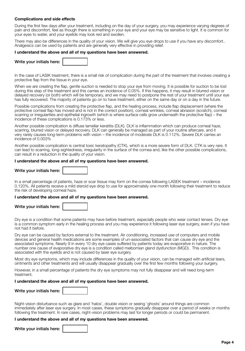# **Complications and side effects**

During the first few days after your treatment, including on the day of your surgery, you may experience varying degrees of pain and discomfort, feel as though there is something in your eye and your eye may be sensitive to light. It is common for your eyes to water, and your eyelids may look red and swollen.

There may also be differences in the quality of your vision. We will give you eye drops to use if you have any discomfort.. Analgesics can be used by patients and are generally very effective in providing relief.

#### **I understand the above and all of my questions have been answered.**

|  | Write your initials here: |  |
|--|---------------------------|--|
|--|---------------------------|--|

In the case of LASIK treatment, there is a small risk of complication during the part of the treatment that involves creating a protective flap from the tissue in your eye.

When we are creating the flap, gentle suction is needed to stop your eye from moving. It is possible for suction to be lost during this step of the treatment and this carries an incidence of 0.05%. If this happens, it may result in blurred vision or delayed recovery (or both) which will be temporary, and we may need to postpone the rest of your treatment until your eye has fully recovered. The majority of patients go on to have treatment, either on the same day or on a day in the future.

Possible complications from creating the protective flap, and the healing process, include flap displacement (where the protective corneal flap has moved and is not in the correct position), corneal wrinkles, corneal abrasion (scratch), corneal scarring or irregularities and epithelial ingrowth (which is where surface cells grow underneath the protective flap) – the incidence of these complications is 0.173% or less.

Another possible complication is diffuse lamellar keratitis (DLK). DLK is inflammation which can produce corneal haze, scarring, blurred vision or delayed recovery. DLK can generally be managed as part of your routine aftercare, and it very rarely causes long-term problems with vision – the incidence of moderate DLK is 0.112%. Severe DLK carries an incidence of 0.003%

Another possible complication is central toxic keratopathy (CTK), which is a more severe form of DLK. CTK is very rare. It can lead to scarring, long-sightedness, irregularity in the surface of the cornea and, like the other possible complications, can result in a reduction in the quality of your vision.

#### **I understand the above and all of my questions have been answered.**

Write your initials here:

In a small percentage of patients, haze or scar tissue may form on the cornea following LASEK treatment – incidence 0.120%. All patients receive a mild steroid eye drop to use for approximately one month following their treatment to reduce the risk of developing corneal haze.

#### **I understand the above and all of my questions have been answered.**

|  | Write your initials here: |  |
|--|---------------------------|--|
|--|---------------------------|--|

Dry eye is a condition that some patients may have before treatment, especially people who wear contact lenses. Dry eye is a common symptom early in the healing process and you may experience it following laser eye surgery, even if you have not had it before.

Dry eye can be caused by factors external to the treatment. Air conditioning, increased use of computers and mobile devices and general health medications are some examples of un-associated factors that can cause dry eye and the associated symptoms. Nearly 9 in every 10 dry eye cases suffered by patients today are evaporative in nature. The number one cause of evaporative dry eye is a condition called meibomian gland dysfunction (MGD). This condition is associated with the eyelids and is not caused by laser eye surgery.

Most dry eye symptoms, which may include differences in the quality of your vision, can be managed with artificial tears, ointments and other treatments and will usually disappear gradually over the first few months following your surgery.

However, in a small percentage of patients the dry eye symptoms may not fully disappear and will need long-term treatment.

#### **I understand the above and all of my questions have been answered.**

| Night-vision disturbance such as glare and 'halos', double vision or seeing 'ghosts' around things are common           |
|-------------------------------------------------------------------------------------------------------------------------|
| immediately after laser eye surgery. In most cases, these symptoms gradually disappear over a period of weeks or months |
| following the treatment. In rare cases, night-vision problems may last for longer periods or could be permanent.        |

#### **I understand the above and all of my questions have been answered.**

Write your initials here: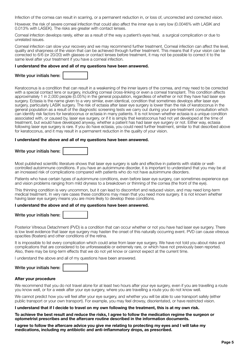Infection of the cornea can result in scarring, or a permanent reduction in, or loss of, uncorrected and corrected vision.

However, the risk of severe corneal infection that could also affect the inner eye is very low (0.0046% with LASIK and 0.013% with LASEK). The risks are greater with contact lenses.

Corneal infection develops rarely, either as a result of the way a patient's eyes heal, a surgical complication or due to unrelated issues.

Corneal infection can slow your recovery and we may recommend further treatment. Corneal infection can affect the level, quality and sharpness of the vision that can be achieved through further treatment. This means that if your vision can be corrected to 6/6 (or 20/20) with glasses or contact lenses before treatment, it may not be possible to correct it to the same level after your treatment if you have a corneal infection.

#### **I understand the above and all of my questions have been answered.**

|  | Write your initials here: |  |
|--|---------------------------|--|
|  |                           |  |

Keratoconus is a condition that can result in a weakening of the inner layers of the cornea, and may need to be corrected with a special contact lens or surgery, including corneal cross-linking or even a corneal transplant. This condition affects approximately 1 in 2,000 people (0.05%) in the general population, regardless of whether or not they have had laser eye surgery. Ectasia is the name given to a very similar, even identical, condition that sometimes develops after laser eye surgery, particularly LASIK surgery. The risk of ectasia after laser eye surgery is lower than the risk of keratoconus in the general population as a result of the diagnostic screening tests we carry out during your pre-treatment consultation which can identify risk factors for keratoconus or ectasia in many patients. It is not known whether ectasia is a unique condition associated with, or caused by, laser eye surgery, or if it is simply that keratoconus had not yet developed at the time of treatment, but would have developed anyway, whether a patient has had laser eye surgery or not. Either way, ectasia following laser eye surgery is rare. If you do have ectasia, you could need further treatment, similar to that described above for keratoconus, and it may result in a permanent reduction in the quality of your vision.

#### **I understand the above and all of my questions have been answered.**

# Write your initials here:

Most published scientific literature shows that laser eye surgery is safe and effective in patients with stable or wellcontrolled autoimmune conditions. If you have an autoimmune disorder, it is important to understand that you may be at an increased risk of complications compared with patients who do not have autoimmune disorders.

Patients who have certain types of autoimmune conditions, even before laser eye surgery, can sometimes experience eye and vision problems ranging from mild dryness to a breakdown or thinning of the cornea (the front of the eye).

This thinning condition is very uncommon, but it can lead to discomfort and reduced vision, and may need long-term medical treatment. In very rare cases these conditions may mean that you need more surgery. It is not known whether having laser eye surgery means you are more likely to develop these conditions.

#### **I understand the above and all of my questions have been answered.**

|  | Write your initials here: |  |
|--|---------------------------|--|
|  |                           |  |

Posterior Vitreous Detachment (PVD) is a condition that can occur whether or not you have had laser eye surgery. There is low level evidence that laser eye surgery may hasten the onset of this naturally occurring event. PVD can cause vitreous opacities (floaters) and other conditions of the retina.

It is impossible to list every complication which could arise from laser eye surgery. We have not told you about risks and complications that are considered to be unforeseeable or extremely rare, or which have not previously been reported. Also, there may be long-term effects that we do not yet know or cannot expect at the current time.

I understand the above and all of my questions have been answered.

|  | Write your initials here: |
|--|---------------------------|
|--|---------------------------|

#### **After your procedure**

We recommend that you do not travel alone for at least two hours after your eye surgery, even if you are travelling a route you know well, or for a week after your eye surgery, where you are travelling a route you do not know well.

We cannot predict how you will feel after your eye surgery, and whether you will be able to use transport safely (either public transport or your own transport). For example, you may feel drowsy, disorientated, or have restricted vision.

#### **I understand that if I decide to travel on my own following the treatment, this is at my own risk.**

**To achieve the best result and reduce the risks, I agree to follow the medication regime the surgeon or optometrist prescribes and the aftercare routine described in the information documents.**

**I agree to follow the aftercare advice you give me relating to protecting my eyes and I will take my medications, including my antibiotic and anti-inflammatory drops, as prescribed.**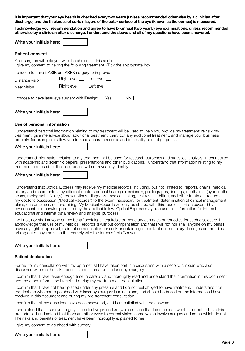**It is important that your eye health is checked every two years (unless recommended otherwise by a clinician after discharge) and the thickness of certain layers of the outer surface of the eye (known as the cornea) is measured.**

**I acknowledge your recommendation and agree to have bi-annual (two yearly) eye examinations, unless recommended otherwise by a clinician after discharge. I understand the above and all of my questions have been answered.**

| Write your initials here: |  |
|---------------------------|--|
|---------------------------|--|

# **Patient consent**

Your surgeon will help you with the choices in this section. I give my consent to having the following treatment. (Tick the appropriate box.)

| Write your initials here:                                         |                                                                      |  |  |  |  |
|-------------------------------------------------------------------|----------------------------------------------------------------------|--|--|--|--|
| I choose to have laser eye surgery with iDesign:<br>No.<br>Yes II |                                                                      |  |  |  |  |
| Distance vision<br>Near vision                                    | Right eye $\Box$ Left eye $\Box$<br>Right eye $\Box$ Left eye $\Box$ |  |  |  |  |
| I choose to have iLASIK or LASEK surgery to improve:              |                                                                      |  |  |  |  |

# **Use of personal information**

I understand personal information relating to my treatment will be used to: help you provide my treatment; review my treatment; give me advice about additional treatment; carry out any additional treatment; and manage your business properly, for example to allow you to keep accurate records and for quality-control purposes.

I understand information relating to my treatment will be used for research purposes and statistical analysis, in connection with academic and scientific papers, presentations and other publications. I understand that information relating to my treatment and used for these purposes will not reveal my identity.

Write your initials here:

I understand that Optical Express may receive my medical records, including, but not limited to, reports, charts, medical history and record entries by different doctors or healthcare professionals, photographs, findings, ophthalmic (eye) or other scans, radiographs (x-rays), prescriptions, diagnosis, medical testing, test results, billing, and other treatment records in my doctor's possession ("Medical Records") to the extent necessary for treatment, determination of clinical management plans, customer service, and billing. My Medical Records will only be shared with third parties if this is covered by my consent or otherwise permitted by the applicable law. Optical Express may also use this information for internal educational and internal data review and analysis purposes.

I will not, nor shall anyone on my behalf seek legal, equitable or monetary damages or remedies for such disclosure. I acknowledge that use of my Medical Records is without compensation and that I will not nor shall anyone on my behalf have any right of approval, claim of compensation, or seek or obtain legal, equitable or monetary damages or remedies arising out of any use such that comply with the terms of this Consent.

Write your initials here:

#### **Patient declaration**

Further to my consultation with my optometrist I have taken part in a discussion with a second clinician who also discussed with me the risks, benefits and alternatives to laser eye surgery.

I confirm that I have taken enough time to carefully and thoroughly read and understand the information in this document and the other information I received during my pre-treatment consultation.

I confirm that I have not been placed under any pressure and I do not feel obliged to have treatment. I understand that the decision whether to go ahead with laser eye surgery is mine alone, and should be based on the information I have received in this document and during my pre-treatment consultation.

I confirm that all my questions have been answered, and I am satisfied with the answers.

I understand that laser eye surgery is an elective procedure (which means that I can choose whether or not to have this procedure). I understand that there are other ways to correct vision, some which involve surgery and some which do not. The risks and benefits of treatment have been thoroughly explained to me.

I give my consent to go ahead with surgery.

#### Write your initials here: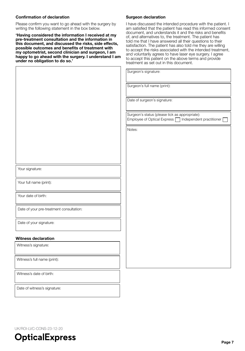# **Confirmation of declaration**

Please confirm you want to go ahead with the surgery by writing the following statement in the box below.

**'Having considered the information I received at my pre-treatment consultation and the information in this document, and discussed the risks, side effects, possible outcomes and benefits of treatment with my optometrist, second clinician and surgeon, I am happy to go ahead with the surgery. I understand I am under no obligation to do so.'**

#### **Surgeon declaration**

I have discussed the intended procedure with the patient. I am satisfied that the patient has read this informed consent document, and understands it and the risks and benefits of, and alternatives to, the treatment. The patient has told me that I have answered all their questions to their satisfaction. The patient has also told me they are willing to accept the risks associated with the intended treatment, and voluntarily agrees to have laser eye surgery. I agree to accept this patient on the above terms and provide treatment as set out in this document.

|                                          | Surgeon's signature:                                                                                      |
|------------------------------------------|-----------------------------------------------------------------------------------------------------------|
|                                          | Surgeon's full name (print):                                                                              |
|                                          | Date of surgeon's signature:                                                                              |
|                                          | Surgeon's status (please tick as appropriate):<br>Independent practitioner<br>Employee of Optical Express |
|                                          | Notes:                                                                                                    |
|                                          |                                                                                                           |
|                                          |                                                                                                           |
| Your signature:                          |                                                                                                           |
| Your full name (print):                  |                                                                                                           |
| Your date of birth:                      |                                                                                                           |
| Date of your pre-treatment consultation: |                                                                                                           |
| Date of your signature:                  |                                                                                                           |
| Witness declaration                      |                                                                                                           |
| Witness's signature:                     |                                                                                                           |
| Witness's full name (print):             |                                                                                                           |
| Witness's date of birth:                 |                                                                                                           |

Date of witness's signature:

UK/ROI-LVC-CONS-23-12-20